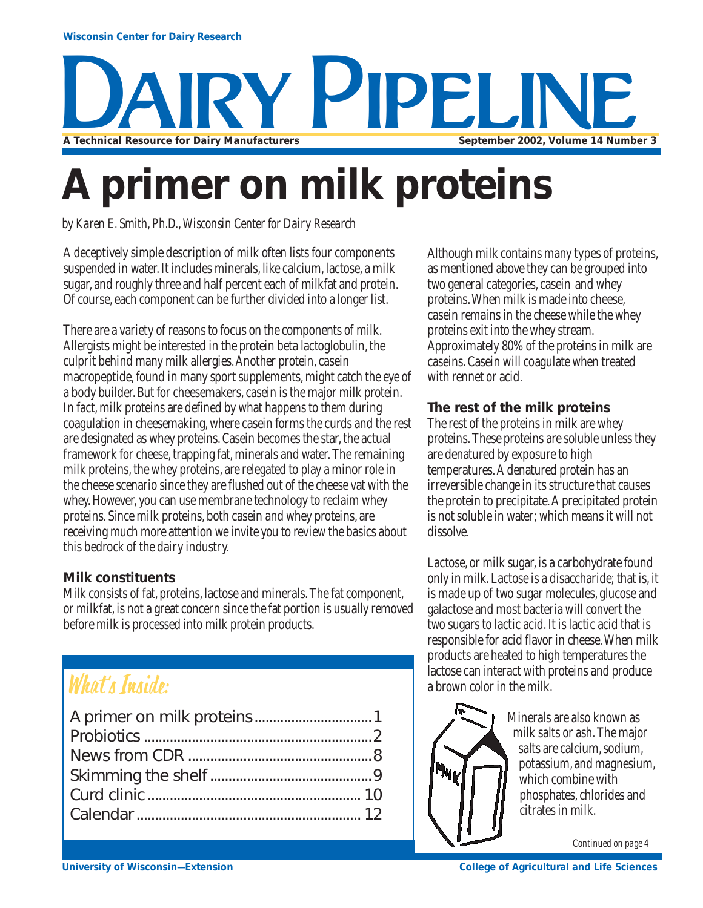

# **A primer on milk proteins**

*by Karen E. Smith, Ph.D., Wisconsin Center for Dairy Research*

A deceptively simple description of milk often lists four components suspended in water. It includes minerals, like calcium, lactose, a milk sugar, and roughly three and half percent each of milkfat and protein. Of course, each component can be further divided into a longer list.

There are a variety of reasons to focus on the components of milk. Allergists might be interested in the protein beta lactoglobulin, the culprit behind many milk allergies. Another protein, casein macropeptide, found in many sport supplements, might catch the eye of a body builder. But for cheesemakers, casein is the major milk protein. In fact, milk proteins are defined by what happens to them during coagulation in cheesemaking, where casein forms the curds and the rest are designated as whey proteins. Casein becomes the star, the actual framework for cheese, trapping fat, minerals and water. The remaining milk proteins, the whey proteins, are relegated to play a minor role in the cheese scenario since they are flushed out of the cheese vat with the whey. However, you can use membrane technology to reclaim whey proteins. Since milk proteins, both casein and whey proteins, are receiving much more attention we invite you to review the basics about this bedrock of the dairy industry.

## **Milk constituents**

Milk consists of fat, proteins, lactose and minerals. The fat component, or milkfat, is not a great concern since the fat portion is usually removed before milk is processed into milk protein products.

## What's Inside:

Although milk contains many types of proteins, as mentioned above they can be grouped into two general categories, casein and whey proteins. When milk is made into cheese, casein remains in the cheese while the whey proteins exit into the whey stream. Approximately 80% of the proteins in milk are caseins. Casein will coagulate when treated with rennet or acid.

## **The rest of the milk proteins**

The rest of the proteins in milk are whey proteins. These proteins are soluble unless they are denatured by exposure to high temperatures. A denatured protein has an irreversible change in its structure that causes the protein to precipitate. A precipitated protein is not soluble in water; which means it will not dissolve.

Lactose, or milk sugar, is a carbohydrate found only in milk. Lactose is a disaccharide; that is, it is made up of two sugar molecules, glucose and galactose and most bacteria will convert the two sugars to lactic acid. It is lactic acid that is responsible for acid flavor in cheese. When milk products are heated to high temperatures the lactose can interact with proteins and produce a brown color in the milk.



Minerals are also known as milk salts or ash. The major salts are calcium, sodium, potassium, and magnesium, which combine with phosphates, chlorides and citrates in milk.

*Continued on page 4*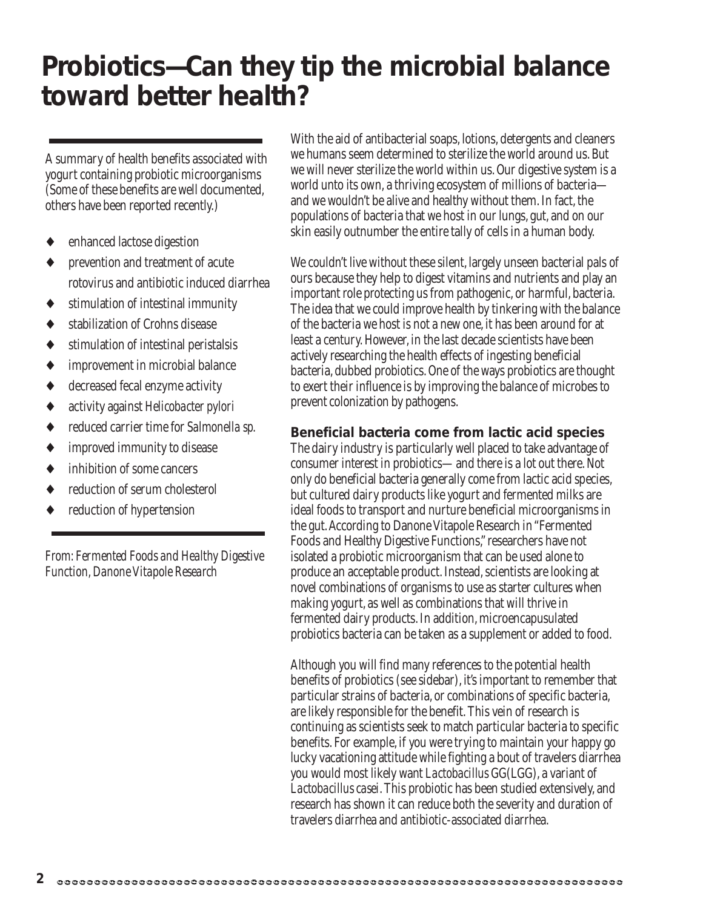## **Probiotics—Can they tip the microbial balance toward better health?**

A summary of health benefits associated with yogurt containing probiotic microorganisms (Some of these benefits are well documented, others have been reported recently.)

- enhanced lactose digestion
- prevention and treatment of acute rotovirus and antibiotic induced diarrhea
- ♦ stimulation of intestinal immunity
- ♦ stabilization of Crohns disease
- ♦ stimulation of intestinal peristalsis
- improvement in microbial balance
- ♦ decreased fecal enzyme activity
- ♦ activity against *Helicobacter pylori*
- ♦ reduced carrier time for *Salmonella sp.*
- ♦ improved immunity to disease
- inhibition of some cancers
- reduction of serum cholesterol
- reduction of hypertension

*From: Fermented Foods and Healthy Digestive Function, Danone Vitapole Research*

With the aid of antibacterial soaps, lotions, detergents and cleaners we humans seem determined to sterilize the world around us. But we will never sterilize the world within us. Our digestive system is a world unto its own, a thriving ecosystem of millions of bacteria and we wouldn't be alive and healthy without them. In fact, the populations of bacteria that we host in our lungs, gut, and on our skin easily outnumber the entire tally of cells in a human body.

We couldn't live without these silent, largely unseen bacterial pals of ours because they help to digest vitamins and nutrients and play an important role protecting us from pathogenic, or harmful, bacteria. The idea that we could improve health by tinkering with the balance of the bacteria we host is not a new one, it has been around for at least a century. However, in the last decade scientists have been actively researching the health effects of ingesting beneficial bacteria, dubbed probiotics. One of the ways probiotics are thought to exert their influence is by improving the balance of microbes to prevent colonization by pathogens.

### **Beneficial bacteria come from lactic acid species**

The dairy industry is particularly well placed to take advantage of consumer interest in probiotics—and there is a lot out there. Not only do beneficial bacteria generally come from lactic acid species, but cultured dairy products like yogurt and fermented milks are ideal foods to transport and nurture beneficial microorganisms in the gut. According to Danone Vitapole Research in "Fermented Foods and Healthy Digestive Functions," researchers have not isolated a probiotic microorganism that can be used alone to produce an acceptable product. Instead, scientists are looking at novel combinations of organisms to use as starter cultures when making yogurt, as well as combinations that will thrive in fermented dairy products. In addition, microencapusulated probiotics bacteria can be taken as a supplement or added to food.

Although you will find many references to the potential health benefits of probiotics (see sidebar), it's important to remember that particular strains of bacteria, or combinations of specific bacteria, are likely responsible for the benefit. This vein of research is continuing as scientists seek to match particular bacteria to specific benefits. For example, if you were trying to maintain your happy go lucky vacationing attitude while fighting a bout of travelers diarrhea you would most likely want *Lactobacillus* GG(LGG), a variant of *Lactobacillus casei*. This probiotic has been studied extensively, and research has shown it can reduce both the severity and duration of travelers diarrhea and antibiotic-associated diarrhea.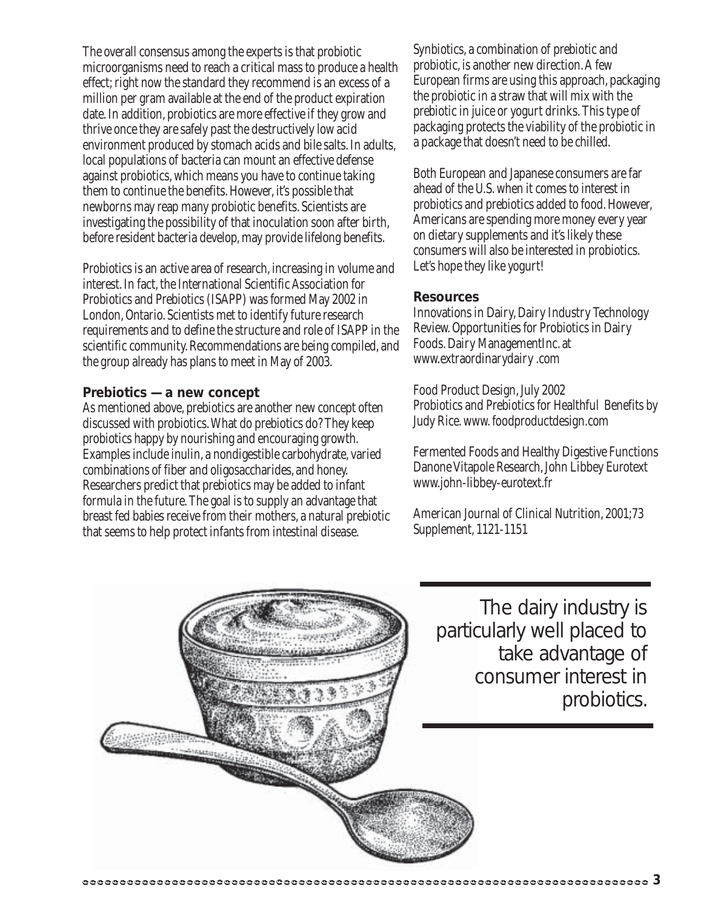The overall consensus among the experts is that probiotic microorganisms need to reach a critical mass to produce a health effect; right now the standard they recommend is an excess of a million per gram available at the end of the product expiration date. In addition, probiotics are more effective if they grow and thrive once they are safely past the destructively low acid environment produced by stomach acids and bile salts. In adults, local populations of bacteria can mount an effective defense against probiotics, which means you have to continue taking them to continue the benefits. However, it's possible that newborns may reap many probiotic benefits. Scientists are investigating the possibility of that inoculation soon after birth, before resident bacteria develop, may provide lifelong benefits.

Probiotics is an active area of research, increasing in volume and interest. In fact, the International Scientific Association for Probiotics and Prebiotics (ISAPP) was formed May 2002 in London, Ontario. Scientists met to identify future research requirements and to define the structure and role of ISAPP in the scientific community. Recommendations are being compiled, and the group already has plans to meet in May of 2003.

#### **Prebiotics — a new concept**

As mentioned above, prebiotics are another new concept often discussed with probiotics. What do prebiotics do? They keep probiotics happy by nourishing and encouraging growth. Examples include inulin, a nondigestible carbohydrate, varied combinations of fiber and oligosaccharides, and honey. Researchers predict that prebiotics may be added to infant formula in the future. The goal is to supply an advantage that breast fed babies receive from their mothers, a natural prebiotic that seems to help protect infants from intestinal disease.

Synbiotics, a combination of prebiotic and probiotic, is another new direction. A few European firms are using this approach, packaging the probiotic in a straw that will mix with the prebiotic in juice or yogurt drinks. This type of packaging protects the viability of the probiotic in a package that doesn't need to be chilled.

Both European and Japanese consumers are far ahead of the U.S. when it comes to interest in probiotics and prebiotics added to food. However, Americans are spending more money every year on dietary supplements and it's likely these consumers will also be interested in probiotics. Let's hope they like yogurt!

#### **Resources**

Innovations in Dairy, Dairy Industry Technology Review. Opportunities for Probiotics in Dairy Foods. Dairy ManagementInc. at www.extraordinarydairy .com

Food Product Design, July 2002 Probiotics and Prebiotics for Healthful Benefits by Judy Rice. www. foodproductdesign.com

Fermented Foods and Healthy Digestive Functions Danone Vitapole Research, John Libbey Eurotext www.john-libbey-eurotext.fr

American Journal of Clinical Nutrition, 2001;73 Supplement, 1121-1151



The dairy industry is particularly well placed to take advantage of consumer interest in probiotics.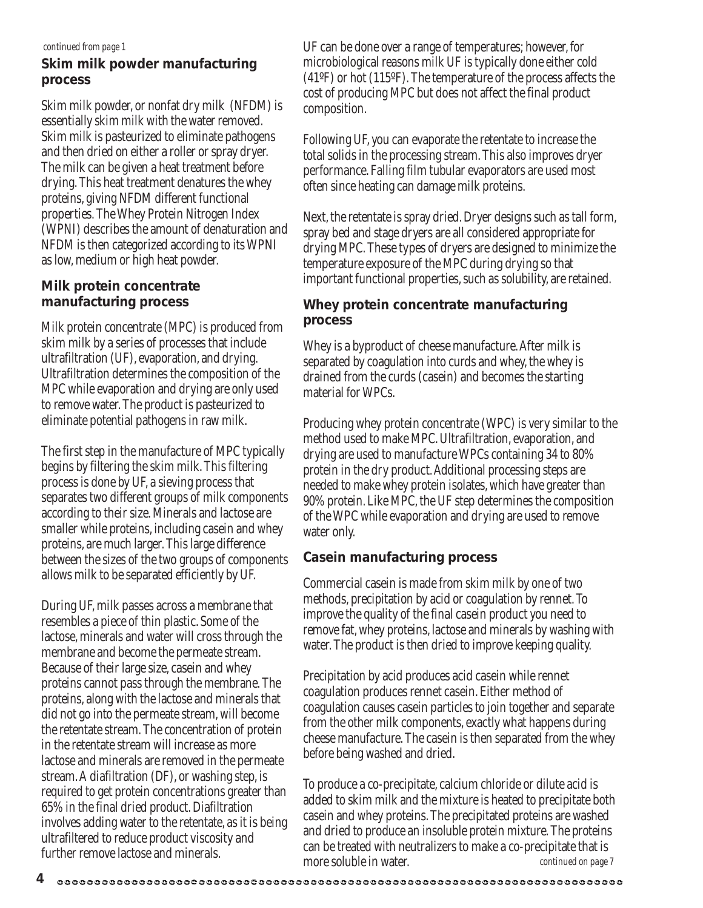#### *continued from page 1*

### **Skim milk powder manufacturing process**

Skim milk powder, or nonfat dry milk (NFDM) is essentially skim milk with the water removed. Skim milk is pasteurized to eliminate pathogens and then dried on either a roller or spray dryer. The milk can be given a heat treatment before drying. This heat treatment denatures the whey proteins, giving NFDM different functional properties. The Whey Protein Nitrogen Index (WPNI) describes the amount of denaturation and NFDM is then categorized according to its WPNI as low, medium or high heat powder.

### **Milk protein concentrate manufacturing process**

Milk protein concentrate (MPC) is produced from skim milk by a series of processes that include ultrafiltration (UF), evaporation, and drying. Ultrafiltration determines the composition of the MPC while evaporation and drying are only used to remove water. The product is pasteurized to eliminate potential pathogens in raw milk.

The first step in the manufacture of MPC typically begins by filtering the skim milk. This filtering process is done by UF, a sieving process that separates two different groups of milk components according to their size. Minerals and lactose are smaller while proteins, including casein and whey proteins, are much larger. This large difference between the sizes of the two groups of components allows milk to beseparated efficiently by UF.

During UF, milk passes across a membrane that resembles a piece of thin plastic. Some of the lactose, minerals and water will cross through the membrane and become the permeate stream. Because of their large size, casein and whey proteins cannot pass through the membrane. The proteins, along with the lactose and minerals that did not go into the permeate stream, will become the retentate stream. The concentration of protein in the retentate stream will increase as more lactose and minerals are removed in the permeate stream. A diafiltration (DF), or washing step, is required to get protein concentrations greater than 65% in the final dried product. Diafiltration involves adding water to the retentate, as it is being ultrafiltered to reduce product viscosity and further remove lactose and minerals.

UF can be done over a range of temperatures; however, for microbiological reasons milk UF is typically done either cold (41ºF) or hot (115ºF). The temperature of the process affects the cost of producing MPC but does not affect the final product composition.

Following UF, you can evaporate the retentate to increase the total solids in the processing stream. This also improves dryer performance. Falling film tubular evaporators are used most often since heating can damage milk proteins.

Next, the retentate is spray dried. Dryer designs such as tall form, spray bed and stage dryers are all considered appropriate for drying MPC. These types of dryers are designed to minimize the temperature exposure of the MPC during drying so that important functional properties, such as solubility, are retained.

## **Whey protein concentrate manufacturing process**

Whey is a byproduct of cheese manufacture. After milk is separated by coagulation into curds and whey, the whey is drained from the curds (casein) and becomes the starting material for WPCs.

Producing whey protein concentrate (WPC) is very similar to the method used to make MPC. Ultrafiltration, evaporation, and drying are used to manufacture WPCs containing 34 to 80% protein in the dry product. Additional processing steps are needed to make whey protein isolates, which have greater than 90% protein. Like MPC, the UF step determines the composition of the WPC while evaporation and drying are used to remove water only.

## **Casein manufacturing process**

Commercial casein is made from skim milk by one of two methods, precipitation by acid or coagulation by rennet. To improve the quality of the final casein product you need to remove fat, whey proteins, lactose and minerals by washing with water. The product is then dried to improve keeping quality.

Precipitation by acid produces acid casein while rennet coagulation produces rennet casein. Either method of coagulation causes casein particles to join together and separate from the other milk components, exactly what happens during cheese manufacture. The casein is then separated from the whey before being washed and dried.

To produce a co-precipitate, calcium chloride or dilute acid is added to skim milk and the mixture is heated to precipitate both casein and whey proteins. The precipitated proteins are washed and dried to produce an insoluble protein mixture. The proteins can be treated with neutralizers to make a co-precipitate that is more soluble in water. **continued on page 7** 

**4**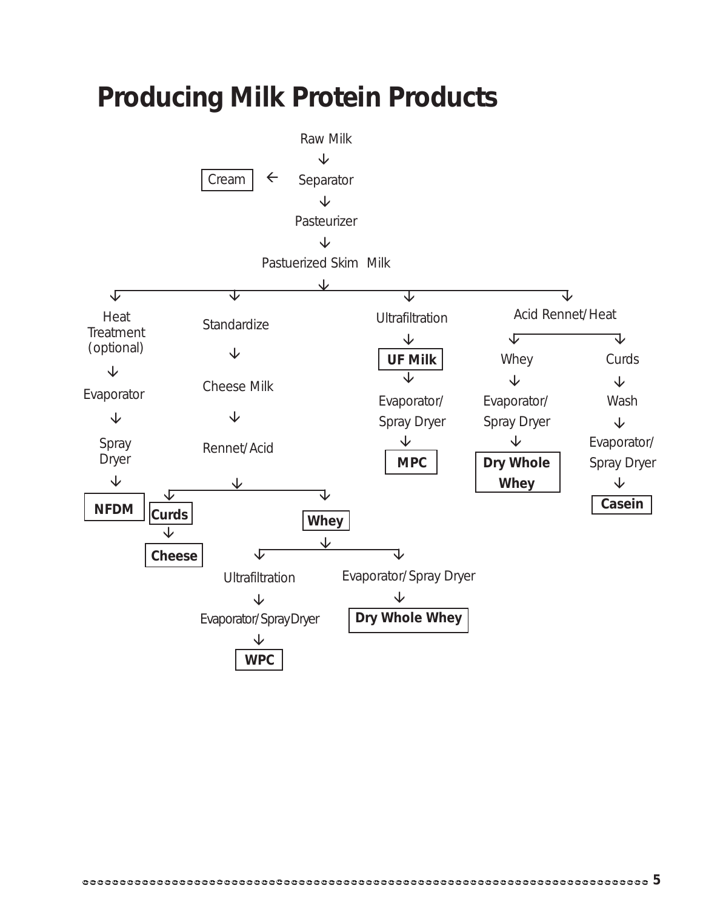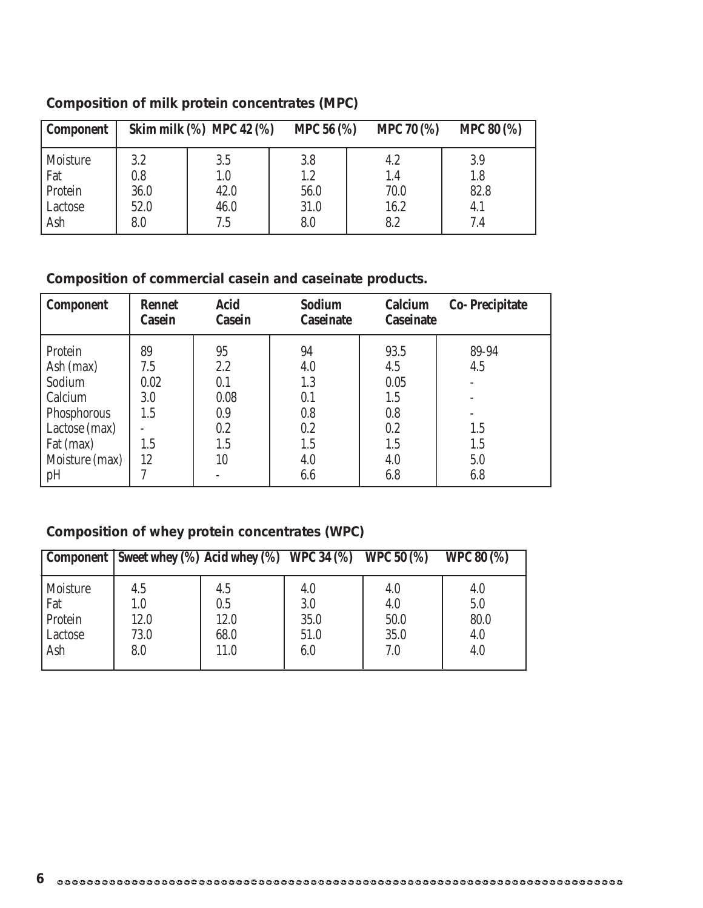| <b>Component</b> |      | Skim milk $(\%)$ MPC 42 $(\%)$ | <b>MPC 56 (%)</b> | <b>MPC 70 (%)</b> | <b>MPC 80 (%)</b> |
|------------------|------|--------------------------------|-------------------|-------------------|-------------------|
| Moisture         | 3.2  | 3.5                            | 3.8               | 4.2               | 3.9               |
| Fat              | 0.8  | $1.0\,$                        | 1.2               | 1.4               | 1.8               |
| Protein          | 36.0 | 42.0                           | 56.0              | 70.0              | 82.8              |
| Lactose          | 52.0 | 46.0                           | 31.0              | 16.2              | 4.1               |
| Ash              | 8.0  | 7.5                            | 8.0               | 8.2               | 7.4               |

## **Composition of milk protein concentrates (MPC)**

## **Composition of commercial casein and caseinate products.**

| <b>Component</b>                                                                                         | <b>Rennet</b><br>Casein                      | <b>Acid</b><br><b>Casein</b>                        | <b>Sodium</b><br><b>Caseinate</b>                   | Calcium<br><b>Caseinate</b>                            | <b>Co-Precipitate</b>             |
|----------------------------------------------------------------------------------------------------------|----------------------------------------------|-----------------------------------------------------|-----------------------------------------------------|--------------------------------------------------------|-----------------------------------|
| Protein<br>Ash (max)<br>Sodium<br>Calcium<br>Phosphorous<br>Lactose (max)<br>Fat (max)<br>Moisture (max) | 89<br>7.5<br>0.02<br>3.0<br>1.5<br>1.5<br>12 | 95<br>2.2<br>0.1<br>0.08<br>0.9<br>0.2<br>1.5<br>10 | 94<br>4.0<br>1.3<br>0.1<br>0.8<br>0.2<br>1.5<br>4.0 | 93.5<br>4.5<br>0.05<br>1.5<br>0.8<br>0.2<br>1.5<br>4.0 | 89-94<br>4.5<br>1.5<br>1.5<br>5.0 |
| pH                                                                                                       |                                              |                                                     | 6.6                                                 | 6.8                                                    | 6.8                               |

## **Composition of whey protein concentrates (WPC)**

|                                                     | Component   Sweet whey $(\%)$ Acid whey $(\%)$ WPC 34 $(\%)$ WPC 50 $(\%)$ |                                    |                                   |                                   | <b>WPC 80 (%)</b>                |
|-----------------------------------------------------|----------------------------------------------------------------------------|------------------------------------|-----------------------------------|-----------------------------------|----------------------------------|
| <b>Moisture</b><br>Fat<br>Protein<br>Lactose<br>Ash | 4.5<br>1.0<br>12.0<br>73.0<br>8.0                                          | 4.5<br>0.5<br>12.0<br>68.0<br>11.0 | 4.0<br>3.0<br>35.0<br>51.0<br>6.0 | 4.0<br>4.0<br>50.0<br>35.0<br>7.0 | 4.0<br>5.0<br>80.0<br>4.0<br>4.0 |
|                                                     |                                                                            |                                    |                                   |                                   |                                  |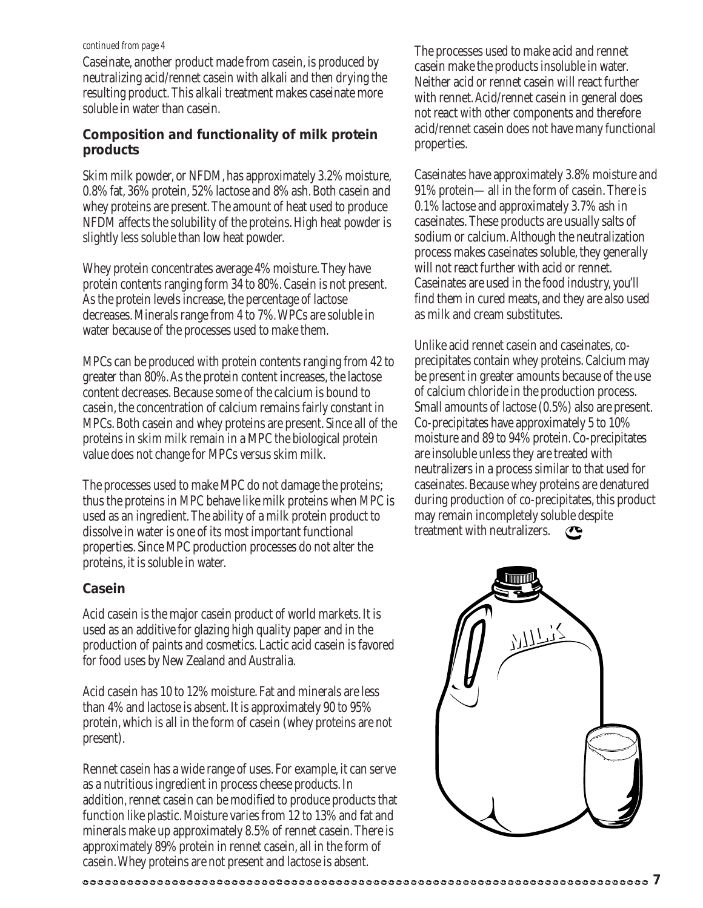#### *continued from page 4*

Caseinate, another product made from casein, is produced by neutralizing acid/rennet casein with alkali and then drying the resulting product. This alkali treatment makes caseinate more soluble in water than casein.

## **Composition and functionality of milk protein products**

Skim milk powder, or NFDM, has approximately 3.2% moisture, 0.8% fat, 36% protein, 52% lactose and 8% ash. Both casein and whey proteins are present. The amount of heat used to produce NFDM affects the solubility of the proteins. High heat powder is slightly less soluble than low heat powder.

Whey protein concentrates average 4% moisture. They have protein contents ranging form 34 to 80%. Casein is not present. As the protein levels increase, the percentage of lactose decreases. Minerals range from 4 to 7%. WPCs are soluble in water because of the processes used to make them.

MPCs can be produced with protein contents ranging from 42 to greater than 80%. As the protein content increases, the lactose content decreases. Because some of the calcium is bound to casein, the concentration of calcium remains fairly constant in MPCs. Both casein and whey proteins are present. Since all of the proteins in skim milk remain in a MPC the biological protein value does not change for MPCs versus skim milk.

The processes used to make MPC do not damage the proteins; thus the proteins in MPC behave like milk proteins when MPC is used as an ingredient. The ability of a milk protein product to dissolve in water is one of its most important functional properties. Since MPC production processes do not alter the proteins, it is soluble in water.

### **Casein**

Acid casein is the major casein product of world markets. It is used as an additive for glazing high quality paper and in the production of paints and cosmetics. Lactic acid casein is favored for food uses by New Zealand and Australia.

Acid casein has 10 to 12% moisture. Fat and minerals are less than 4% and lactose is absent. It is approximately 90 to 95% protein, which is all in the form of casein (whey proteins are not present).

Rennet casein has a wide range of uses. For example, it can serve as a nutritious ingredient in process cheese products. In addition, rennet casein can be modified to produce products that function like plastic. Moisture varies from 12 to 13% and fat and minerals make up approximately 8.5% of rennet casein. There is approximately 89% protein in rennet casein, all in the form of casein. Whey proteins are not present and lactose is absent.

The processes used to make acid and rennet casein make the products insoluble in water. Neither acid or rennet casein will react further with rennet. Acid/rennet casein in general does not react with other components and therefore acid/rennet casein does not have many functional properties.

Caseinates have approximately 3.8% moisture and 91% protein—all in the form of casein. There is 0.1% lactose and approximately 3.7% ash in caseinates. These products are usually salts of sodium or calcium. Although the neutralization process makes caseinates soluble, they generally will not react further with acid or rennet. Caseinates are used in the food industry, you'll find them in cured meats, and they are also used as milk and cream substitutes.

Unlike acid rennet casein and caseinates, coprecipitates contain whey proteins. Calcium may be present in greater amounts because of the use of calcium chloride in the production process. Small amounts of lactose (0.5%) also are present. Co-precipitates have approximately 5 to 10% moisture and 89 to 94% protein. Co-precipitates are insoluble unless they are treated with neutralizers in a process similar to that used for caseinates. Because whey proteins are denatured during production of co-precipitates, this product may remain incompletely soluble despite treatment with neutralizers.  $\mathbf{C}$ 

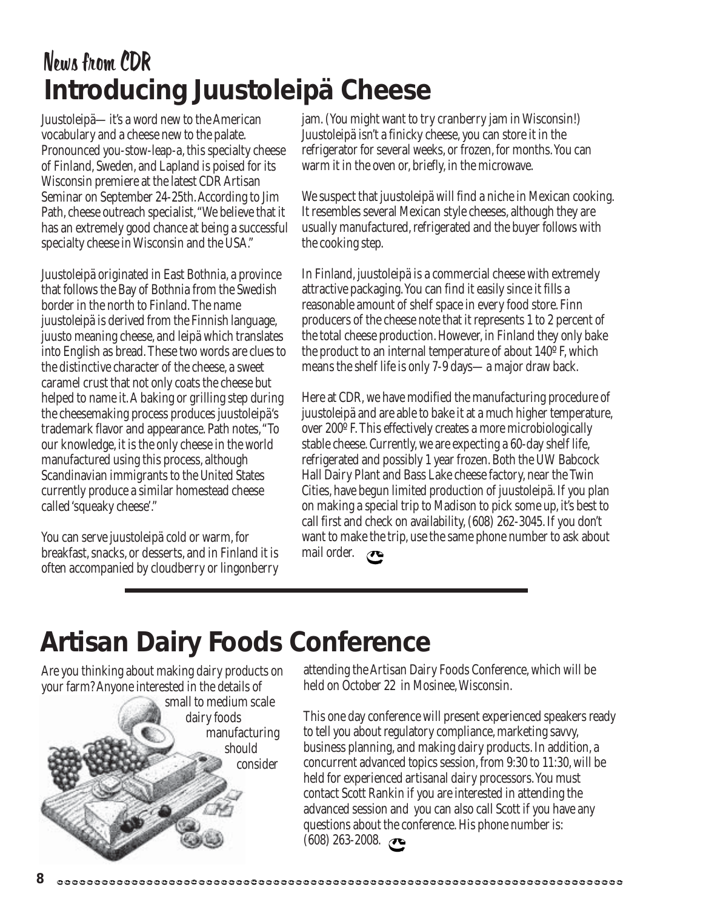## News from CDR **Introducing Juustoleipä Cheese**

Juustoleipä—it's a word new to the American vocabulary and a cheese new to the palate. Pronounced you-stow-leap-a, this specialty cheese of Finland, Sweden, and Lapland is poised for its Wisconsin premiere at the latest CDR Artisan Seminar on September 24-25th. According to Jim Path, cheese outreach specialist, "We believe that it has an extremely good chance at being a successful specialty cheese in Wisconsin and the USA."

Juustoleipä originated in East Bothnia, a province that follows the Bay of Bothnia from the Swedish border in the north to Finland. The name juustoleipä is derived from the Finnish language, juusto meaning cheese, and leipä which translates into English as bread. These two words are clues to the distinctive character of the cheese, a sweet caramel crust that not only coats the cheese but helped to name it. A baking or grilling step during the cheesemaking process produces juustoleipä's trademark flavor and appearance. Path notes, "To our knowledge, it is the only cheese in the world manufactured using this process, although Scandinavian immigrants to the United States currently produce a similar homestead cheese called 'squeaky cheese'."

You can serve juustoleipä cold or warm, for breakfast, snacks, or desserts, and in Finland it is often accompanied by cloudberry or lingonberry jam. (You might want to try cranberry jam in Wisconsin!) Juustoleipä isn't a finicky cheese, you can store it in the refrigerator for several weeks, or frozen, for months. You can warm it in the oven or, briefly, in the microwave.

We suspect that juustoleipä will find a niche in Mexican cooking. It resembles several Mexican style cheeses, although they are usually manufactured, refrigerated and the buyer follows with the cooking step.

In Finland, juustoleipä is a commercial cheese with extremely attractive packaging. You can find it easily since it fills a reasonable amount of shelf space in every food store. Finn producers of the cheese note that it represents 1 to 2 percent of the total cheese production. However, in Finland they only bake the product to an internal temperature of about 140º F, which means the shelf life is only 7-9 days—a major draw back.

Here at CDR, we have modified the manufacturing procedure of juustoleipä and are able to bake it at a much higher temperature, over 200º F. This effectively creates a more microbiologically stable cheese. Currently, we are expecting a 60-day shelf life, refrigerated and possibly 1 year frozen. Both the UW Babcock Hall Dairy Plant and Bass Lake cheese factory, near the Twin Cities, have begun limited production of juustoleipä. If you plan on making a special trip to Madison to pick some up, it's best to call first and check on availability, (608) 262-3045. If you don't want to make the trip, use the same phone number to ask about mail order.  $\bullet$ 

## **Artisan Dairy Foods Conference**

Are you thinking about making dairy products on your farm? Anyone interested in the details of

small to medium scale dairy foods manufacturing should consider

attending the Artisan Dairy Foods Conference, which will be held on October 22 in Mosinee, Wisconsin.

This one day conference will present experienced speakers ready to tell you about regulatory compliance, marketing savvy, business planning, and making dairy products. In addition, a concurrent advanced topics session, from 9:30 to 11:30, will be held for experienced artisanal dairy processors. You must contact Scott Rankin if you are interested in attending the advanced session and you can also call Scott if you have any questions about the conference. His phone number is:  $(608)$  263-2008.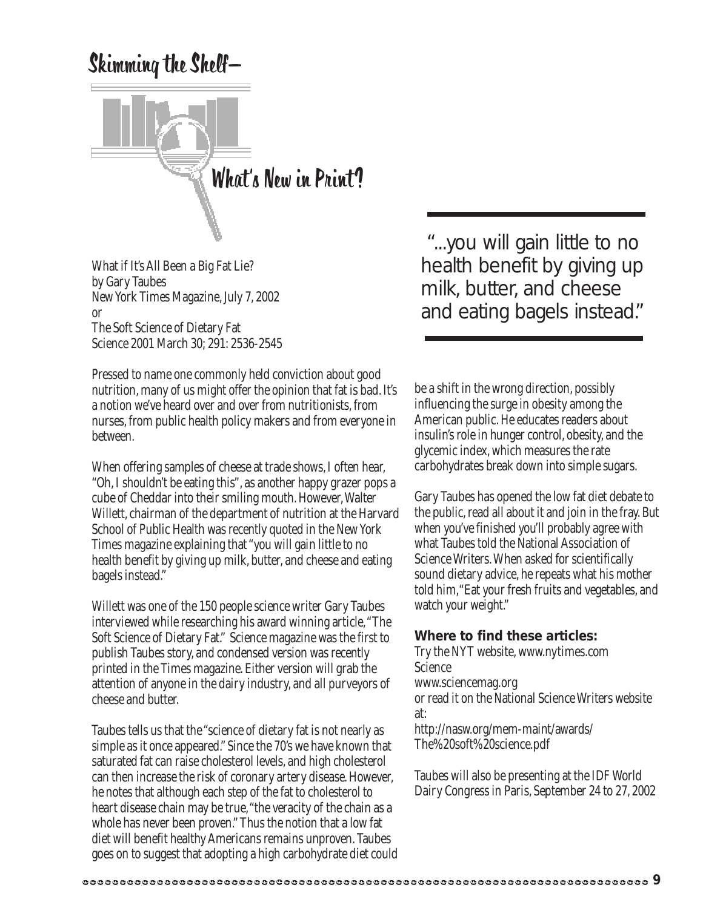## Skimming the Shelf—



What if It's All Been a Big Fat Lie? by Gary Taubes New York Times Magazine, July 7, 2002 or The Soft Science of Dietary Fat Science 2001 March 30; 291: 2536-2545

Pressed to name one commonly held conviction about good nutrition, many of us might offer the opinion that fat is bad. It's a notion we've heard over and over from nutritionists, from nurses, from public health policy makers and from everyone in between.

When offering samples of cheese at trade shows, I often hear, "Oh, I shouldn't be eating this", as another happy grazer pops a cube of Cheddar into their smiling mouth. However, Walter Willett, chairman of the department of nutrition at the Harvard School of Public Health was recently quoted in the New York Times magazine explaining that "you will gain little to no health benefit by giving up milk, butter, and cheese and eating bagels instead."

Willett was one of the 150 people science writer Gary Taubes interviewed while researching his award winning article, "The Soft Science of Dietary Fat." Science magazine was the first to publish Taubes story, and condensed version was recently printed in the Times magazine. Either version will grab the attention of anyone in the dairy industry, and all purveyors of cheese and butter.

Taubes tells us that the "science of dietary fat is not nearly as simple as it once appeared." Since the 70's we have known that saturated fat can raise cholesterol levels, and high cholesterol can then increase the risk of coronary artery disease. However, he notes that although each step of the fat to cholesterol to heart disease chain may be true, "the veracity of the chain as a whole has never been proven." Thus the notion that a low fat diet will benefit healthy Americans remains unproven. Taubes goes on to suggest that adopting a high carbohydrate diet could

 "...you will gain little to no health benefit by giving up milk, butter, and cheese and eating bagels instead."

be a shift in the wrong direction, possibly influencing the surge in obesity among the American public. He educates readers about insulin's role in hunger control, obesity, and the glycemic index, which measures the rate carbohydrates break down into simple sugars.

Gary Taubes has opened the low fat diet debate to the public, read all about it and join in the fray. But when you've finished you'll probably agree with what Taubes told the National Association of Science Writers. When asked for scientifically sound dietary advice, he repeats what his mother told him,"Eat your fresh fruits and vegetables, and watch your weight."

## **Where to find these articles:**

Try the NYT website, www.nytimes.com Science www.sciencemag.org or read it on the National Science Writers website at: http://nasw.org/mem-maint/awards/ The%20soft%20science.pdf

Taubes will also be presenting at the IDF World Dairy Congress in Paris, September 24 to 27, 2002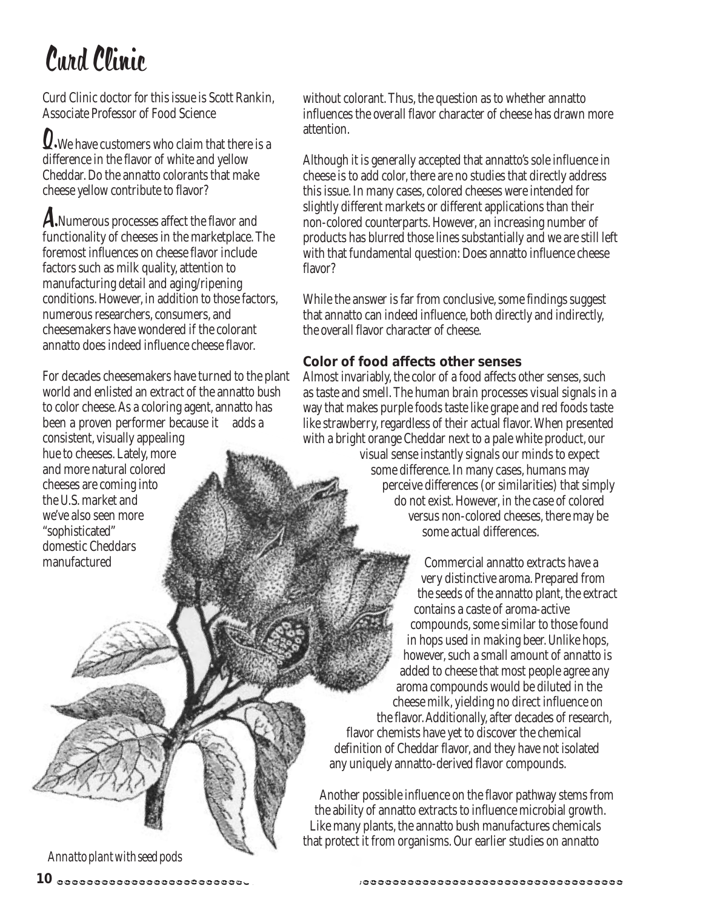# Curd Clinic

Curd Clinic doctor for this issue is Scott Rankin, Associate Professor of Food Science

**Q**. We have customers who claim that there is a difference in the flavor of white and yellow Cheddar. Do the annatto colorants that make cheese yellow contribute to flavor?

A.Numerous processes affect the flavor and functionality of cheeses in the marketplace. The foremost influences on cheese flavor include factors such as milk quality, attention to manufacturing detail and aging/ripening conditions. However, in addition to those factors, numerous researchers, consumers, and cheesemakers have wondered if the colorant annatto does indeed influence cheese flavor.

For decades cheesemakers have turned to the plant world and enlisted an extract of the annatto bush to color cheese. As a coloring agent, annatto has been a proven performer because it adds a consistent, visually appealing hue to cheeses. Lately, more and more natural colored cheeses are coming into the U.S. market and we've also seen more "sophisticated" domestic Cheddars manufactured

without colorant. Thus, the question as to whether annatto influences the overall flavor character of cheese has drawn more attention.

Although it is generally accepted that annatto's sole influence in cheese is to add color, there are no studies that directly address this issue. In many cases, colored cheeses were intended for slightly different markets or different applications than their non-colored counterparts. However, an increasing number of products has blurred those lines substantially and we are still left with that fundamental question: Does annatto influence cheese flavor?

While the answer is far from conclusive, some findings suggest that annatto can indeed influence, both directly and indirectly, the overall flavor character of cheese.

## **Color of food affects other senses**

Almost invariably, the color of a food affects other senses, such as taste and smell. The human brain processes visual signals in a way that makes purple foods taste like grape and red foods taste like strawberry, regardless of their actual flavor. When presented with a bright orange Cheddar next to a pale white product, our visual sense instantly signals our minds to expect some difference. In many cases, humans may perceive differences (or similarities) that simply do not exist. However, in the case of colored versus non-colored cheeses, there may be some actual differences.

Commercial annatto extracts have a very distinctive aroma. Prepared from the seeds of the annatto plant, the extract contains a caste of aroma-active compounds, some similar to those found in hops used in making beer. Unlike hops, however, such a small amount of annatto is added to cheese that most people agree any aroma compounds would be diluted in the cheese milk, yielding no direct influence on the flavor. Additionally, after decades of research, flavor chemists have yet to discover the chemical definition of Cheddar flavor, and they have not isolated any uniquely annatto-derived flavor compounds.

Another possible influence on the flavor pathway stems from the ability of annatto extracts to influence microbial growth. Like many plants, the annatto bush manufactures chemicals that protect it from organisms. Our earlier studies on annatto

*Annatto plant with seed pods*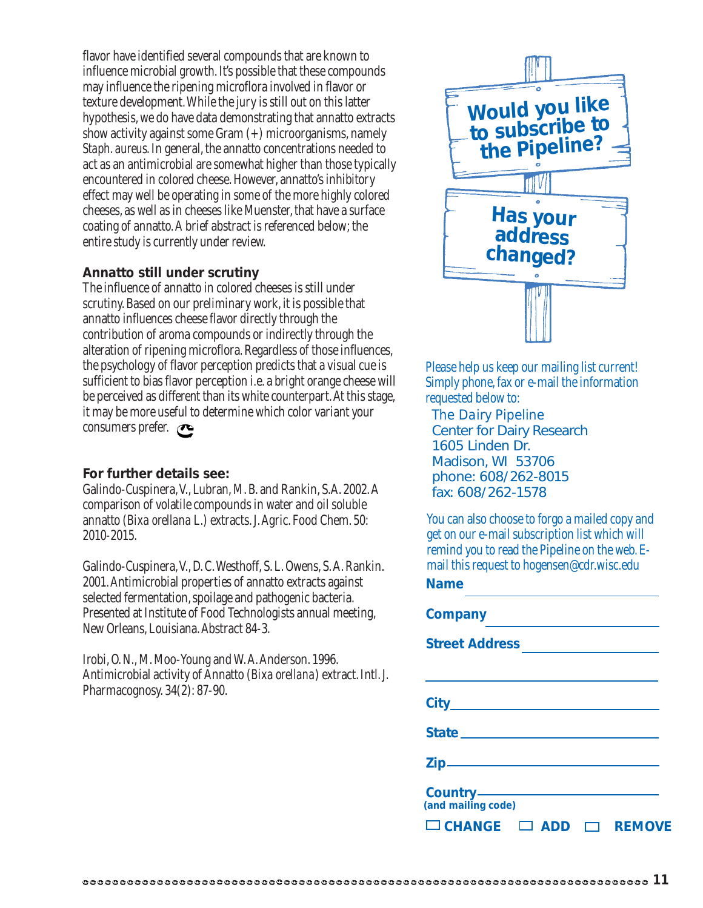flavor have identified several compounds that are known to influence microbial growth. It's possible that these compounds may influence the ripening microflora involved in flavor or texture development. While the jury is still out on this latter hypothesis, we do have data demonstrating that annatto extracts show activity against some Gram  $(+)$  microorganisms, namely *Staph. aureus*. In general, the annatto concentrations needed to act as an antimicrobial are somewhat higher than those typically encountered in colored cheese. However, annatto's inhibitory effect may well be operating in some of the more highly colored cheeses, as well as in cheeses like Muenster, that have a surface coating of annatto. A brief abstract is referenced below; the entire study is currently under review.

### **Annatto still under scrutiny**

The influence of annatto in colored cheeses is still under scrutiny. Based on our preliminary work, it is possible that annatto influences cheese flavor directly through the contribution of aroma compounds or indirectly through the alteration of ripening microflora. Regardless of those influences, the psychology of flavor perception predicts that a visual cue is sufficient to bias flavor perception i.e. a bright orange cheese will be perceived as different than its white counterpart. At this stage, it may be more useful to determine which color variant your consumers prefer.

### **For further details see:**

Galindo-Cuspinera, V., Lubran, M. B. and Rankin, S.A. 2002. A comparison of volatile compounds in water and oil soluble annatto (*Bixa orellana* L*.*) extracts. J. Agric. Food Chem. 50: 2010-2015.

Galindo-Cuspinera, V., D. C. Westhoff, S. L. Owens, S. A. Rankin. 2001. Antimicrobial properties of annatto extracts against selected fermentation, spoilage and pathogenic bacteria. Presented at Institute of Food Technologists annual meeting, New Orleans, Louisiana. Abstract 84-3.

Irobi, O. N., M. Moo-Young and W. A. Anderson. 1996. Antimicrobial activity of Annatto (*Bixa orellana*) extract. Intl. J. Pharmacognosy. 34(2): 87-90.



Please help us keep our mailing list current! Simply phone, fax or e-mail the information requested below to:

*The Dairy Pipeline* Center for Dairy Research 1605 Linden Dr. Madison, WI 53706 phone: 608/262-8015 fax: 608/262-1578

**Name** You can also choose to forgo a mailed copy and get on our e-mail subscription list which will remind you to read the Pipeline on the web. Email this request to hogensen@cdr.wisc.edu

| <b>Company</b>                             |  |
|--------------------------------------------|--|
| <b>Street Address</b>                      |  |
|                                            |  |
|                                            |  |
| State <b>State State State State State</b> |  |
|                                            |  |
| (and mailing code)                         |  |
| $\Box$ CHANGE $\Box$ ADD<br>$\Box$ REMOVE  |  |